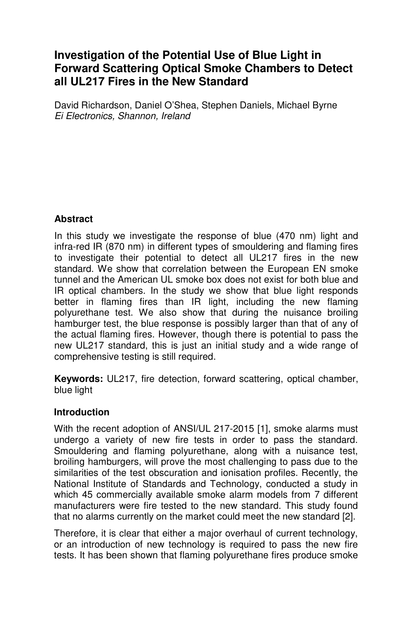# **Investigation of the Potential Use of Blue Light in Forward Scattering Optical Smoke Chambers to Detect all UL217 Fires in the New Standard**

David Richardson, Daniel O'Shea, Stephen Daniels, Michael Byrne Ei Electronics, Shannon, Ireland

# **Abstract**

In this study we investigate the response of blue (470 nm) light and infra-red IR (870 nm) in different types of smouldering and flaming fires to investigate their potential to detect all UL217 fires in the new standard. We show that correlation between the European EN smoke tunnel and the American UL smoke box does not exist for both blue and IR optical chambers. In the study we show that blue light responds better in flaming fires than IR light, including the new flaming polyurethane test. We also show that during the nuisance broiling hamburger test, the blue response is possibly larger than that of any of the actual flaming fires. However, though there is potential to pass the new UL217 standard, this is just an initial study and a wide range of comprehensive testing is still required.

**Keywords:** UL217, fire detection, forward scattering, optical chamber, blue light

### **Introduction**

With the recent adoption of ANSI/UL 217-2015 [1], smoke alarms must undergo a variety of new fire tests in order to pass the standard. Smouldering and flaming polyurethane, along with a nuisance test, broiling hamburgers, will prove the most challenging to pass due to the similarities of the test obscuration and ionisation profiles. Recently, the National Institute of Standards and Technology, conducted a study in which 45 commercially available smoke alarm models from 7 different manufacturers were fire tested to the new standard. This study found that no alarms currently on the market could meet the new standard [2].

Therefore, it is clear that either a major overhaul of current technology, or an introduction of new technology is required to pass the new fire tests. It has been shown that flaming polyurethane fires produce smoke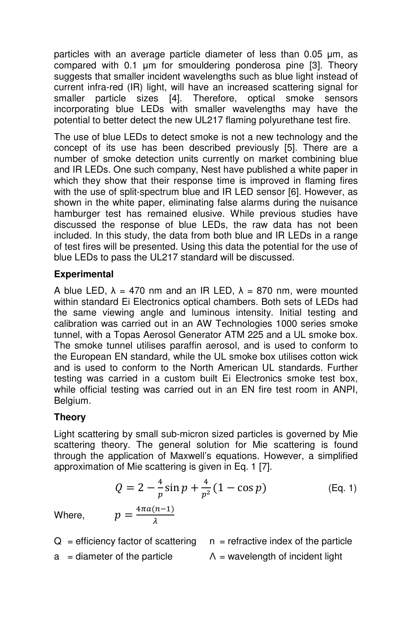particles with an average particle diameter of less than 0.05 µm, as compared with 0.1 µm for smouldering ponderosa pine [3]. Theory suggests that smaller incident wavelengths such as blue light instead of current infra-red (IR) light, will have an increased scattering signal for smaller particle sizes [4]. Therefore, optical smoke sensors incorporating blue LEDs with smaller wavelengths may have the potential to better detect the new UL217 flaming polyurethane test fire.

The use of blue LEDs to detect smoke is not a new technology and the concept of its use has been described previously [5]. There are a number of smoke detection units currently on market combining blue and IR LEDs. One such company, Nest have published a white paper in which they show that their response time is improved in flaming fires with the use of split-spectrum blue and IR LED sensor [6]. However, as shown in the white paper, eliminating false alarms during the nuisance hamburger test has remained elusive. While previous studies have discussed the response of blue LEDs, the raw data has not been included. In this study, the data from both blue and IR LEDs in a range of test fires will be presented. Using this data the potential for the use of blue LEDs to pass the UL217 standard will be discussed.

### **Experimental**

A blue LED,  $\lambda = 470$  nm and an IR LED,  $\lambda = 870$  nm, were mounted within standard Ei Electronics optical chambers. Both sets of LEDs had the same viewing angle and luminous intensity. Initial testing and calibration was carried out in an AW Technologies 1000 series smoke tunnel, with a Topas Aerosol Generator ATM 225 and a UL smoke box. The smoke tunnel utilises paraffin aerosol, and is used to conform to the European EN standard, while the UL smoke box utilises cotton wick and is used to conform to the North American UL standards. Further testing was carried in a custom built Ei Electronics smoke test box, while official testing was carried out in an EN fire test room in ANPI, Belgium.

# **Theory**

Light scattering by small sub-micron sized particles is governed by Mie scattering theory. The general solution for Mie scattering is found through the application of Maxwell's equations. However, a simplified approximation of Mie scattering is given in Eq. 1 [7].

$$
Q = 2 - \frac{4}{p} \sin p + \frac{4}{p^2} (1 - \cos p)
$$
 (Eq. 1)  
Where, 
$$
p = \frac{4\pi a (n-1)}{\lambda}
$$

Where,

- $Q =$  efficiency factor of scattering  $n =$  refractive index of the particle
- a = diameter of the particle  $\Lambda$  = wavelength of incident light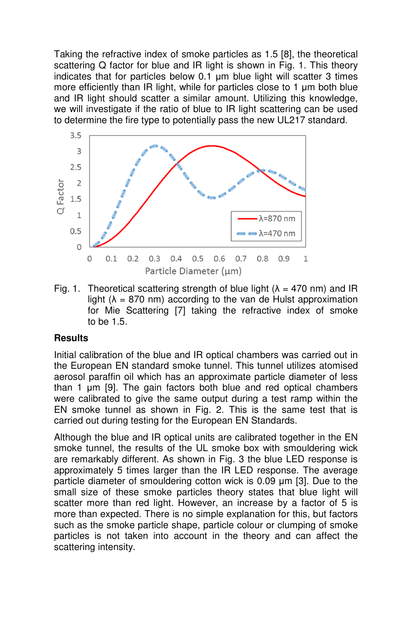Taking the refractive index of smoke particles as 1.5 [8], the theoretical scattering Q factor for blue and IR light is shown in Fig. 1. This theory indicates that for particles below 0.1 µm blue light will scatter 3 times more efficiently than IR light, while for particles close to 1 um both blue and IR light should scatter a similar amount. Utilizing this knowledge, we will investigate if the ratio of blue to IR light scattering can be used to determine the fire type to potentially pass the new UL217 standard.



Fig. 1. Theoretical scattering strength of blue light ( $\lambda = 470$  nm) and IR light ( $\lambda$  = 870 nm) according to the van de Hulst approximation for Mie Scattering [7] taking the refractive index of smoke to be 1.5.

#### **Results**

Initial calibration of the blue and IR optical chambers was carried out in the European EN standard smoke tunnel. This tunnel utilizes atomised aerosol paraffin oil which has an approximate particle diameter of less than 1 µm [9]. The gain factors both blue and red optical chambers were calibrated to give the same output during a test ramp within the EN smoke tunnel as shown in Fig. 2. This is the same test that is carried out during testing for the European EN Standards.

Although the blue and IR optical units are calibrated together in the EN smoke tunnel, the results of the UL smoke box with smouldering wick are remarkably different. As shown in Fig. 3 the blue LED response is approximately 5 times larger than the IR LED response. The average particle diameter of smouldering cotton wick is 0.09 µm [3]. Due to the small size of these smoke particles theory states that blue light will scatter more than red light. However, an increase by a factor of 5 is more than expected. There is no simple explanation for this, but factors such as the smoke particle shape, particle colour or clumping of smoke particles is not taken into account in the theory and can affect the scattering intensity.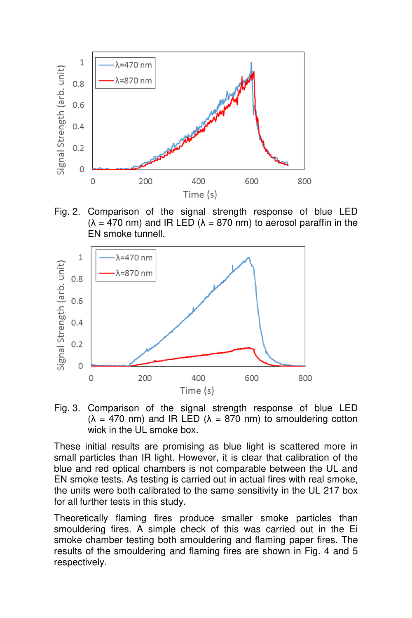

Fig. 2. Comparison of the signal strength response of blue LED  $(\lambda = 470 \text{ nm})$  and IR LED  $(\lambda = 870 \text{ nm})$  to aerosol paraffin in the EN smoke tunnell.



Fig. 3. Comparison of the signal strength response of blue LED  $(\lambda = 470 \text{ nm})$  and IR LED  $(\lambda = 870 \text{ nm})$  to smouldering cotton wick in the UL smoke box.

These initial results are promising as blue light is scattered more in small particles than IR light. However, it is clear that calibration of the blue and red optical chambers is not comparable between the UL and EN smoke tests. As testing is carried out in actual fires with real smoke, the units were both calibrated to the same sensitivity in the UL 217 box for all further tests in this study.

Theoretically flaming fires produce smaller smoke particles than smouldering fires. A simple check of this was carried out in the Ei smoke chamber testing both smouldering and flaming paper fires. The results of the smouldering and flaming fires are shown in Fig. 4 and 5 respectively.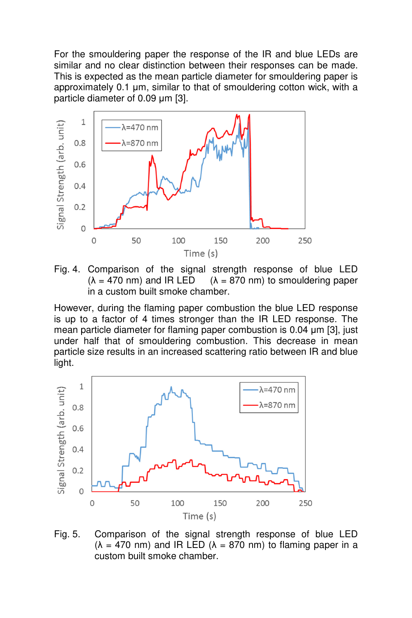For the smouldering paper the response of the IR and blue LEDs are similar and no clear distinction between their responses can be made. This is expected as the mean particle diameter for smouldering paper is approximately 0.1 µm, similar to that of smouldering cotton wick, with a particle diameter of 0.09 µm [3].





However, during the flaming paper combustion the blue LED response is up to a factor of 4 times stronger than the IR LED response. The mean particle diameter for flaming paper combustion is 0.04 µm [3], just under half that of smouldering combustion. This decrease in mean particle size results in an increased scattering ratio between IR and blue light.



Fig. 5. Comparison of the signal strength response of blue LED ( $\lambda$  = 470 nm) and IR LED ( $\lambda$  = 870 nm) to flaming paper in a custom built smoke chamber.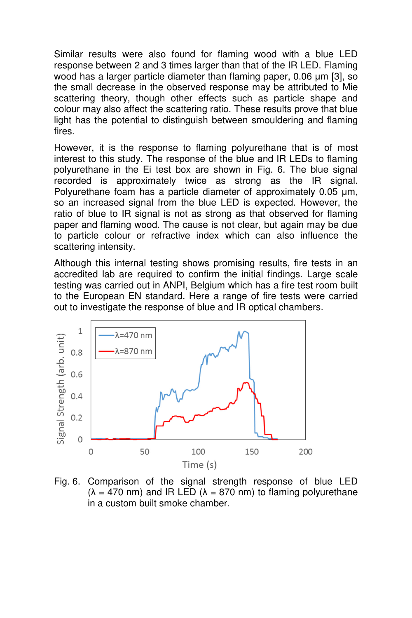Similar results were also found for flaming wood with a blue LED response between 2 and 3 times larger than that of the IR LED. Flaming wood has a larger particle diameter than flaming paper, 0.06 µm [3], so the small decrease in the observed response may be attributed to Mie scattering theory, though other effects such as particle shape and colour may also affect the scattering ratio. These results prove that blue light has the potential to distinguish between smouldering and flaming fires.

However, it is the response to flaming polyurethane that is of most interest to this study. The response of the blue and IR LEDs to flaming polyurethane in the Ei test box are shown in Fig. 6. The blue signal recorded is approximately twice as strong as the IR signal. Polyurethane foam has a particle diameter of approximately 0.05 µm, so an increased signal from the blue LED is expected. However, the ratio of blue to IR signal is not as strong as that observed for flaming paper and flaming wood. The cause is not clear, but again may be due to particle colour or refractive index which can also influence the scattering intensity.

Although this internal testing shows promising results, fire tests in an accredited lab are required to confirm the initial findings. Large scale testing was carried out in ANPI, Belgium which has a fire test room built to the European EN standard. Here a range of fire tests were carried out to investigate the response of blue and IR optical chambers.



Fig. 6. Comparison of the signal strength response of blue LED  $(\lambda = 470 \text{ nm})$  and IR LED  $(\lambda = 870 \text{ nm})$  to flaming polyurethane in a custom built smoke chamber.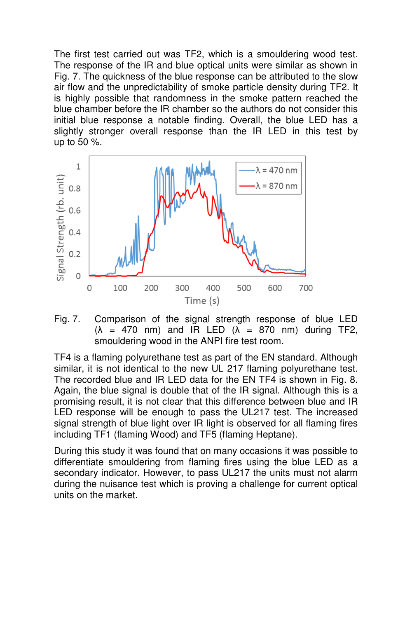The first test carried out was TF2, which is a smouldering wood test. The response of the IR and blue optical units were similar as shown in Fig. 7. The quickness of the blue response can be attributed to the slow air flow and the unpredictability of smoke particle density during TF2. It is highly possible that randomness in the smoke pattern reached the blue chamber before the IR chamber so the authors do not consider this initial blue response a notable finding. Overall, the blue LED has a slightly stronger overall response than the IR LED in this test by up to 50 %.



Fig. 7. Comparison of the signal strength response of blue LED  $(\lambda = 470 \text{ nm})$  and IR LED  $(\lambda = 870 \text{ nm})$  during TF2, smouldering wood in the ANPI fire test room.

TF4 is a flaming polyurethane test as part of the EN standard. Although similar, it is not identical to the new UL 217 flaming polyurethane test. The recorded blue and IR LED data for the EN TF4 is shown in Fig. 8. Again, the blue signal is double that of the IR signal. Although this is a promising result, it is not clear that this difference between blue and IR LED response will be enough to pass the UL217 test. The increased signal strength of blue light over IR light is observed for all flaming fires including TF1 (flaming Wood) and TF5 (flaming Heptane).

During this study it was found that on many occasions it was possible to differentiate smouldering from flaming fires using the blue LED as a secondary indicator. However, to pass UL217 the units must not alarm during the nuisance test which is proving a challenge for current optical units on the market.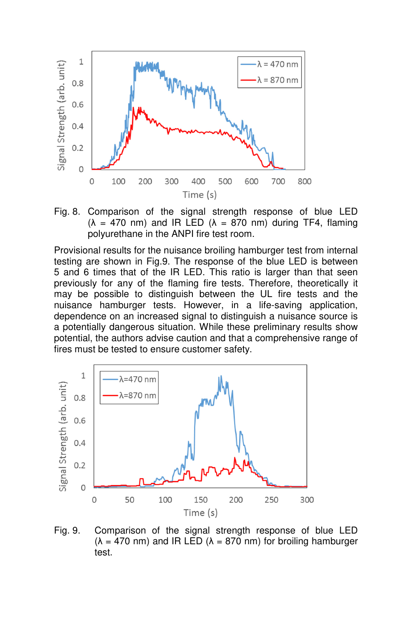

Fig. 8. Comparison of the signal strength response of blue LED ( $\lambda$  = 470 nm) and IR LED ( $\lambda$  = 870 nm) during TF4, flaming polyurethane in the ANPI fire test room.

Provisional results for the nuisance broiling hamburger test from internal testing are shown in Fig.9. The response of the blue LED is between 5 and 6 times that of the IR LED. This ratio is larger than that seen previously for any of the flaming fire tests. Therefore, theoretically it may be possible to distinguish between the UL fire tests and the nuisance hamburger tests. However, in a life-saving application, dependence on an increased signal to distinguish a nuisance source is a potentially dangerous situation. While these preliminary results show potential, the authors advise caution and that a comprehensive range of fires must be tested to ensure customer safety.



Fig. 9. Comparison of the signal strength response of blue LED  $(\lambda = 470 \text{ nm})$  and IR LED  $(\lambda = 870 \text{ nm})$  for broiling hamburger test.